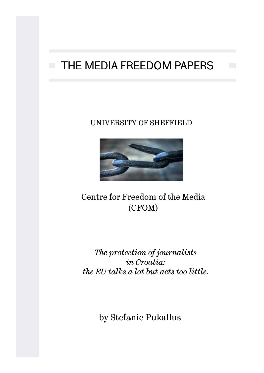# THE MEDIA FREEDOM PAPERS

### UNIVERSITY OF SHEFFIELD



# Centre for Freedom of the Media (CFOM)

*The protection of journalists in Croatia: the EU talks a lot but acts too little.*

by Stefanie Pukallus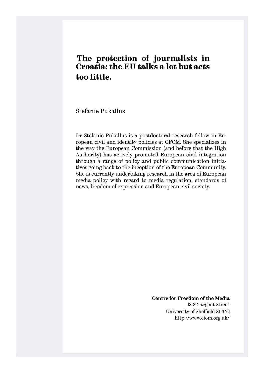### **The protection of journalists in Croatia: the EU talks a lot but acts too little.**

Stefanie Pukallus

Dr Stefanie Pukallus is a postdoctoral research fellow in European civil and identity policies at CFOM. She specializes in the way the European Commission (and before that the High Authority) has actively promoted European civil integration through a range of policy and public communication initiatives going back to the inception of the European Community. She is currently undertaking research in the area of European media policy with regard to media regulation, standards of news, freedom of expression and European civil society.

> **Centre for Freedom of the Media** 18-22 Regent Street University of Sheffield S1 3NJ http://www.cfom.org.uk/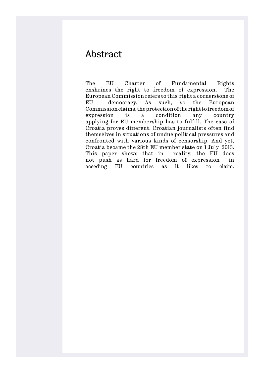# Abstract

The EU Charter of Fundamental Rights enshrines the right to freedom of expression. The European Commission refers to this right a cornerstone of EU democracy. As such, so the European Commission claims, the protection of the right to freedom of expression is a condition any country applying for EU membership has to fulfill. The case of Croatia proves different. Croatian journalists often find themselves in situations of undue political pressures and confronted with various kinds of censorship. And yet, Croatia became the 28th EU member state on 1 July 2013. This paper shows that in reality, the EU does not push as hard for freedom of expression in acceding EU countries as it likes to claim.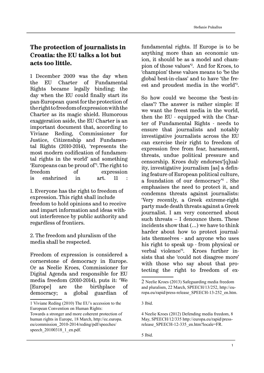### **The protection of journalists in Croatia: the EU talks a lot but acts too little.**

1 December 2009 was the day when the EU Charter of Fundamental Rights became legally binding; the day when the EU could finally start its pan-European quest for the protection of the right to freedom of expression with the Charter as its magic shield. Humorous exaggeration aside, the EU Charter is an important document that, according to Viviane Reding, Commissioner for Justice, Citizenship and Fundamental Rights (2010-2014), 'represents the most modern codification of fundamental rights in the world' and something 'Europeans can be proud of'<sup>1</sup> . The right to freedom of expression is enshrined in art. 11 :

1. Everyone has the right to freedom of expression. This right shall include freedom to hold opinions and to receive and impart information and ideas without interference by public authority and regardless of frontiers.

2. The freedom and pluralism of the media shall be respected.

Freedom of expression is considered a cornerstone of democracy in Europe. Or as Neelie Kroes, Commissioner for Digital Agenda and responsible for EU media freedom (2010-2014), puts it: 'We [Europe] are the birthplace of democracy; a global guardian of

eu/commission\_2010-2014/reding/pdf/speeches/ speech 20100318 1 en.pdf.

fundamental rights. If Europe is to be anything more than an economic union, it should be as a model and champion of those values'2 . And for Kroes, to 'champion' these values means to 'be the global best-in-class' and to have 'the freest and proudest media in the world'<sup>3</sup> .

So how could we become the 'best-inclass'? The answer is rather simple: If we want the freest media in the world, then the EU - equipped with the Charter of Fundamental Rights - needs to ensure that journalists and notably investigative journalists across the EU can exercise their right to freedom of expression free from fear, harassment, threats, undue political pressure and censorship. Kroes duly endorses'[q]uality, investigative journalism [as] a defining feature of European political culture, a foundation of our democracy'<sup>4</sup> . She emphasises the need to protect it, and condemns threats against journalists: 'Very recently, a Greek extreme-right party made death threats against a Greek journalist. I am very concerned about such threats – I denounce them. These incidents show that (…) we have to think harder about how to protect journalists themselves - and anyone who uses his right to speak up - from physical or verbal violence'5 . Kroes further insists that she 'could not disagree more' with those who say about that protecting the right to freedom of ex-

3 Ibid.

<sup>1</sup> Viviane Reding (2010) The EU's accession to the European Convention on Human Rights: Towards a stronger and more coherent protection of human rights in Europe, 18 March, http://ec.europa.

<sup>2</sup> Neelie Kroes (2013) Safeguarding media freedom and pluralism, 22 March, SPEECH/13/252, http://europa.eu/rapid/press-release\_SPEECH-13-252\_en.htm.

<sup>4</sup> Neelie Kroes (2012) Defending media freedom, 8 May, SPEECH/12/335 http://europa.eu/rapid/pressrelease SPEECH-12-335 en.htm?locale=FR.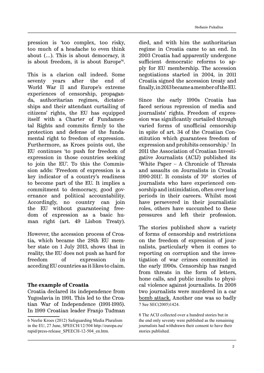pression is 'too complex, too risky, too much of a headache to even think about (…). This is about democracy, it is about freedom, it is about Europe'6 .

This is a clarion call indeed. Some seventy years after the end of World War II and Europe's extreme experiences of censorship, propaganda, authoritarian regimes, dictatorships and their attendant curtailing of citizens' rights, the EU has equipped itself with a Charter of Fundamental Rights and commits firmly to the protection and defense of the fundamental right to freedom of expression. Furthermore, as Kroes points out, the EU continues 'to push for freedom of expression in those countries seeking to join the EU'. To this the Commission adds: 'Freedom of expression is a key indicator of a country's readiness to become part of the EU. It implies a commitment to democracy, good governance and political accountability. Accordingly, no country can join the EU without guaranteeing freedom of expression as a basic human right (art. 49 Lisbon Treaty).

However, the accession process of Croatia, which became the 28th EU member state on 1 July 2013, shows that in reality, the EU does not push as hard for freedom of expression in acceding EU countries as it likes to claim.

#### **The example of Croatia**

Croatia declared its independence from Yugoslavia in 1991. This led to the Croatian War of Independence (1991-1995). In 1999 Croatian leader Franjo Tuđman

died, and with him the authoritarian regime in Croatia came to an end. In 2003 Croatia had apparently undergone sufficient democratic reforms to apply for EU membership. The accession negotiations started in 2004, in 2011 Croatia signed the accession treaty and finally, in 2013 became a member of the EU.

Since the early 1990s Croatia has faced serious repression of media and journalists' rights. Freedom of expression was significantly curtailed through varied forms of unofficial censorship in spite of art. 34 of the Croatian Constitution which guarantees freedom of expression and prohibits censorship.7 In 2011 the Association of Croatian Investigative Journalists (ACIJ) published its 'White Paper – A Chronicle of Threats and assaults on Journalists in Croatia 1990-2011'. It consists of  $70<sup>8</sup>$  stories of journalists who have experienced censorship and intimidation, often over long periods in their careers. Whilst most have persevered in their journalistic roles, others have succumbed to these pressures and left their profession.

The stories published show a variety of forms of censorship and restrictions on the freedom of expression of journalists, particularly when it comes to reporting on corruption and the investigation of war crimes committed in the early 1990s. Censorship has ranged from threats in the form of letters, hone calls, and public insults to physical violence against journalists. In 2008 two journalists were murdered in a car bomb attack. Another one was so badly 7 See SEC(2005)1424.

8 The ACIJ collected over a hundred stories but in the end only seventy were published as the remaining journalists had withdrawn their consent to have their stories published.

<sup>6</sup> Neelie Kroes (2012) Safeguarding Media Pluralism in the EU, 27 June, SPEECH/12/504 http://europa.eu/ rapid/press-release\_SPEECH-12-504\_en.htm.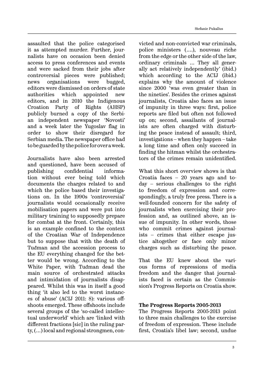assaulted that the police categorised it as attempted murder. Further, journalists have on occasion been denied access to press conferences and events and were sacked from their jobs after controversial pieces were published; news organisations were bugged, editors were dismissed on orders of state authorities which appointed new editors, and in 2010 the Indigenous Croation Party of Rights (AHSP) publicly burned a copy of the Serbian independent newspaper 'Novosti' and a week later the Yugoslav flag in order to show their disregard for Serbian media. The newspaper office had to be guarded by the police for over a week.

Journalists have also been arrested and questioned, have been accused of publishing confidential information without ever being told which documents the charges related to and which the police based their investigations on. In the 1990s 'controversial' journalists would occasionally receive mobilisation papers and were put into military training to supposedly prepare for combat at the front. Certainly, this is an example confined to the context of the Croatian War of Independence but to suppose that with the death of Tuđman and the accession process to the EU everything changed for the better would be wrong. According to the White Paper, with Tuđman dead the main source of orchestrated attacks and intimidation of journalists disappeared. Whilst this was in itself a good thing 'it also led to the worst instances of abuse' (ACIJ 2011: 8): various offshoots emerged. These offshoots include several groups of the 'so-called intellectual underworld' which are 'linked with different fractions [sic] in the ruling party, (…) local and regional strongmen, con-

victed and non-convicted war criminals, police ministers (….), nouveau riche from the edge or the other side of the law, ordinary criminals … They all generally act relatively independently' (ibid.) which according to the ACIJ (ibid.) explains why the amount of violence since 2000 'was even greater than in the nineties'. Besides the crimes against journalists, Croatia also faces an issue of impunity in three ways: first, police reports are filed but often not followed up on; second, assailants of journalists are often charged with disturbing the peace instead of assault; third, investigations – when they happen – take a long time and often only succeed in finding the hitman whilst the orchestrators of the crimes remain unidentified.

What this short overview shows is that Croatia faces – 20 years ago and today – serious challenges to the right to freedom of expression and correspondingly, a truly free press. There is a well-founded concern for the safety of journalists when exercising their profession and, as outlined above, an issue of impunity. In other words, those who commit crimes against journalists – crimes that either escape justice altogether or face only minor charges such as disturbing the peace.

That the EU knew about the various forms of repressions of media freedom and the danger that journalists faced is certain as the Commission's Progress Reports on Croatia show.

#### **The Progress Reports 2005-2013**

The Progress Reports 2005-2013 point to three main challenges to the exercise of freedom of expression. These include first, Croatia's libel law; second, undue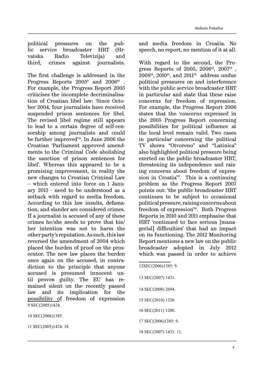political pressures on the public service broadcaster HRT (Hrvatska Radio Televizija) and third, crimes against journalists.

The first challenge is addressed in the Progress Reports  $2005^9$  and  $2006^{10}$ . For example, the Progress Report 2005 criticises the incomplete decriminalisation of Croatian libel law: 'Since October 2004, four journalists have received suspended prison sentences for libel. The revised libel regime still appears to lead to a certain degree of self-censorship among journalists and could be further improved<sup>'11</sup>. In June 2006 the Croatian 'Parliament approved amendments to the Criminal Code abolishing the sanction of prison sentences for libel'. Whereas this appeared to be a promising improvement, in reality the new changes to Croatian Criminal Law – which entered into force on 1 January 2013 - need to be understood as a setback with regard to media freedom. According to this law insults, defamation, and slander are considered crimes. If a journalist is accused of any of these crimes he/she needs to prove that his/ her intention was not to harm the other party's reputation. As such, this law reversed the amendment of 2004 which placed the burden of proof on the prosecutor. The new law places the burden once again on the accused, in contradiction to the principle that anyone accused is presumed innocent until proven guilty. The EU has remained silent on the recently passed law and its implication for the possibility of freedom of expression 9 SEC(2005)1424.

10 SEC(2006)1385.

11 SEC(2005)1424: 18.

and media freedom in Croatia. No speech, no report, no mention of it at all.

With regard to the second, the Progress Reports of 2005, 2006<sup>12</sup>, 2007<sup>13</sup>,  $2008^{14}$ ,  $2010^{15}$ , and  $2011^{16}$  address undue political pressures on and interference with the public service broadcaster HRT in particular and state that these raise concerns for freedom of expression. For example, the Progress Report 2006 states that the 'concerns expressed in the 2005 Progress Report concerning possibilities for political influence at the local level remain valid. Two cases in particular concerning the political TV shows "Otvoreno" and "Latinica" also highlighted political pressure being exerted on the public broadcaster HRT, threatening its independence and raising concerns about freedom of expression in Croatia'17. This is a continuing problem as the Progress Report 2007 points out: 'the public broadcaster HRT continues to be subject to occasional political pressure, raising concerns about freedom of expression'18. Both Progress Reports in 2010 and 2011 emphasise that HRT 'continued to face serious [managerial] difficulties' that had an impact on its functioning. The 2012 Monitoring Report mentions a new law on the public broadcaster adopted in July 2012 which was passed in order to achieve

- 12SEC(2006)1385: 9. 13 SEC(2007) 1431. 14 SEC(2008) 2694. 15 SEC(2010) 1326. 16 SEC(2011) 1200.
- 17 SEC(2006)1385: 9.

18 SEC(2007) 1431: 11.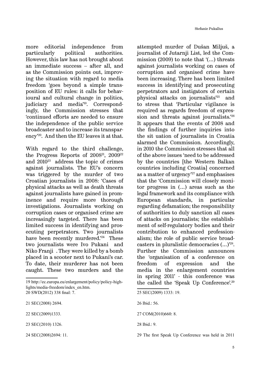more editorial independence from particularly political authorities. However, this law has not brought about an immediate success – after all, and as the Commission points out, improving the situation with regard to media freedom 'goes beyond a simple transposition of EU rules: it calls for behavioural and cultural change in politics, judiciary and media'19. Correspondingly, the Commission stresses that 'continued efforts are needed to ensure the independence of the public service broadcaster and to increase its transparency'<sup>20</sup>. And then the EU leaves it at that.

With regard to the third challenge, the Progress Reports of  $2008^{21}$ ,  $2009^{22}$ and 201023 address the topic of crimes against journalists. The EU's concern was triggered by the murder of two Croatian journalists in 2008: 'Cases of physical attacks as well as death threats against journalists have gained in prominence and require more thorough investigations. Journalists working on corruption cases or organised crime are increasingly targeted. There has been limited success in identifying and prosecuting perpetrators. Two journalists have been recently murdered.<sup>24</sup> These two journalists were Ivo Pukani and Niko Franji. They were killed by a bomb placed in a scooter next to Pukani's car. To date, their murderer has not been caught. These two murders and the

22 SEC(2009)1333.

attempted murder of Dušan Miljuš, a journalist of Jutarnji List, led the Commission (2009) to note that '(…) threats against journalists working on cases of corruption and organised crime have been increasing. There has been limited success in identifying and prosecuting perpetrators and instigators of certain physical attacks on journalists'25 and to stress that 'Particular vigilance is required as regards freedom of expression and threats against journalists.'26 It appears that the events of 2008 and the findings of further inquiries into the sit uation of journalists in Croatia alarmed the Commission. Accordingly, in 2010 the Commission stresses that all of the above issues 'need to be addressed by the countries [the Western Balkan countries including Croatia] concerned as a matter of urgency'27 and emphasises that the 'Commission will closely monitor progress in (…) areas such as the legal framework and its compliance with European standards, in particular regarding defamation; the responsibility of authorities to duly sanction all cases of attacks on journalists; the establishment of self-regulatory bodies and their contribution to enhanced professionalism; the role of public service broadcasters in pluralistic democracies (…)'28. Further the Commission announces the 'organisation of a conference on freedom of expression and the media in the enlargement countries in spring 2011' - this conference was the called the 'Speak Up Conference'.29

<sup>19</sup> http://ec.europa.eu/enlargement/policy/policy-highlights/media-freedom/index\_en.htm. 20 SWD(2012) 338 final: 7.

<sup>21</sup> SEC(2008) 2694.

<sup>23</sup> SEC(2010) 1326.

<sup>24</sup> SEC(2008)2694: 11.

<sup>25</sup> SEC(2009) 1333: 19.

<sup>26</sup> Ibid.: 56.

<sup>27</sup> COM(2010)660: 8.

<sup>28</sup> Ibid.: 9.

<sup>29</sup> The first Speak Up Conference was held in 2011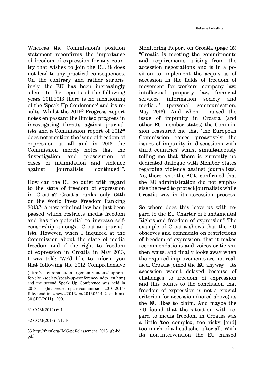Whereas the Commission's position statement reconfirms the importance of freedom of expression for any country that wishes to join the EU, it does not lead to any practical consequences. On the contrary and rather surprisingly, the EU has been increasingly silent: In the reports of the following years 2011-2013 there is no mentioning of the 'Speak Up Conference' and its results. Whilst the 2011<sup>30</sup> Progress Report notes en passant the limited progress in investigating threats against journalists and a Commission report of 201231 does not mention the issue of freedom of expression at all and in 2013 the Commission merely notes that the 'investigation and prosecution of cases of intimidation and violence against journalists continued'<sup>32</sup>.

How can the EU go quiet with regard to the state of freedom of expression in Croatia? Croatia ranks only 64th on the World Press Freedom Ranking 2013.33 A new criminal law has just been passed which restricts media freedom and has the potential to increase selfcensorship amongst Croatian journalists. However, when I inquired at the Commission about the state of media freedom and if the right to freedom of expression in Croatia in May 2013, I was told: 'We'd like to inform you that following the 2012 Comprehensive

31 COM(2012) 601.

32 COM(2013) 171: 10.

33 http://fr.rsf.org/IMG/pdf/classement\_2013\_gb-bd. pdf.

Monitoring Report on Croatia (page 15) "Croatia is meeting the commitments and requirements arising from the accession negotiations and is in a position to implement the acquis as of accession in the fields of freedom of movement for workers, company law, intellectual property law, financial services, information society and media…' (personal communication, May 2013). And when I raised the issue of impunity in Croatia (and other EU member states) the Commission reassured me that 'the European Commission raises proactively the issues of impunity in discussions with third countries' whilst simultaneously telling me that 'there is currently no dedicated dialogue with Member States regarding violence against journalists'. No, there isn't: the ACIJ confirmed that the EU administration did not emphasise the need to protect journalists while Croatia was in its accession process.

So where does this leave us with regard to the EU Charter of Fundamental Rights and freedom of expression? The example of Croatia shows that the EU observes and comments on restrictions of freedom of expression, that it makes recommendations and voices criticism, then waits, and finally looks away when the required improvements are not realised. Croatia joined the EU anyway – its accession wasn't delayed because of challenges to freedom of expression and this points to the conclusion that freedom of expression is not a crucial criterion for accession (noted above) as the EU likes to claim. And maybe the EU found that the situation with regard to media freedom in Croatia was a little 'too complex, too risky [and] too much of a headache' after all. With its non-intervention the EU missed

<sup>(</sup>http://ec.europa.eu/enlargement/tenders/supportfor-civil-society/speak-up-conference/index\_en.htm) and the second Speak Up Conference was held in 2013 (http://ec.europa.eu/commission\_2010-2014/ fule/headlines/news/2013/06/20130614\_2\_en.htm). 30 SEC(2011) 1200.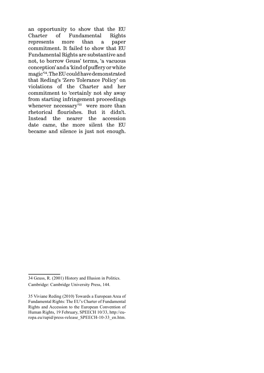an opportunity to show that the EU Charter of Fundamental Rights represents more than a paper commitment. It failed to show that EU Fundamental Rights are substantive and not, to borrow Geuss' terms, 'a vacuous conception' and a 'kind of puffery or white magic'<sup>34</sup>. The EU could have demonstrated that Reding's 'Zero Tolerance Policy' on violations of the Charter and her commitment to 'certainly not shy away from starting infringement proceedings whenever necessary<sup>'35</sup> were more than rhetorical flourishes. But it didn't. Instead the nearer the accession date came, the more silent the EU became and silence is just not enough.

<sup>34</sup> Geuss, R. (2001) History and Illusion in Politics. Cambridge: Cambridge University Press, 144.

<sup>35</sup> Viviane Reding (2010) Towards a European Area of Fundamental Rights: The EU's Charter of Fundamental Rights and Accession to the European Convention of Human Rights, 19 February, SPEECH 10/33, http://europa.eu/rapid/press-release\_SPEECH-10-33\_en.htm.